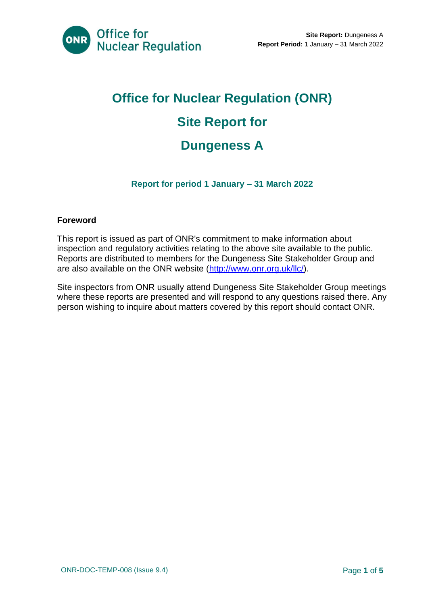

# **Office for Nuclear Regulation (ONR) Site Report for Dungeness A**

#### **Report for period 1 January – 31 March 2022**

#### **Foreword**

This report is issued as part of ONR's commitment to make information about inspection and regulatory activities relating to the above site available to the public. Reports are distributed to members for the Dungeness Site Stakeholder Group and are also available on the ONR website [\(http://www.onr.org.uk/llc/\)](http://www.onr.org.uk/llc/).

Site inspectors from ONR usually attend Dungeness Site Stakeholder Group meetings where these reports are presented and will respond to any questions raised there. Any person wishing to inquire about matters covered by this report should contact ONR.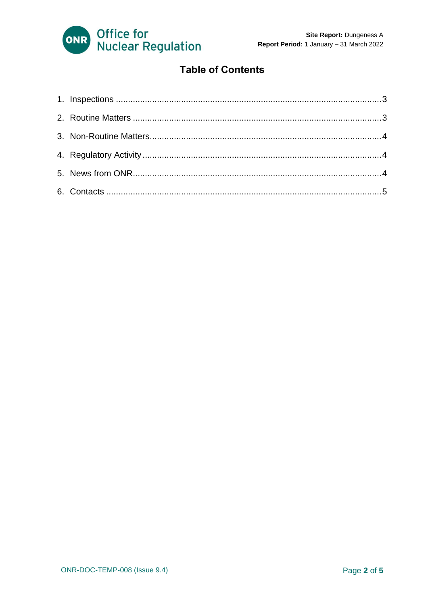

#### **Table of Contents**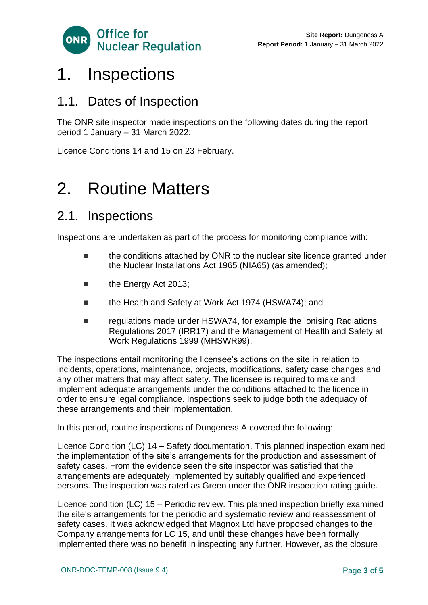

### <span id="page-2-0"></span>1. Inspections

#### 1.1. Dates of Inspection

The ONR site inspector made inspections on the following dates during the report period 1 January – 31 March 2022:

Licence Conditions 14 and 15 on 23 February.

### <span id="page-2-1"></span>2. Routine Matters

#### 2.1. Inspections

Inspections are undertaken as part of the process for monitoring compliance with:

- the conditions attached by ONR to the nuclear site licence granted under the Nuclear Installations Act 1965 (NIA65) (as amended);
- the Energy Act 2013;
- the Health and Safety at Work Act 1974 (HSWA74); and
- regulations made under HSWA74, for example the Ionising Radiations Regulations 2017 (IRR17) and the Management of Health and Safety at Work Regulations 1999 (MHSWR99).

The inspections entail monitoring the licensee's actions on the site in relation to incidents, operations, maintenance, projects, modifications, safety case changes and any other matters that may affect safety. The licensee is required to make and implement adequate arrangements under the conditions attached to the licence in order to ensure legal compliance. Inspections seek to judge both the adequacy of these arrangements and their implementation.

In this period, routine inspections of Dungeness A covered the following:

Licence Condition (LC) 14 – Safety documentation. This planned inspection examined the implementation of the site's arrangements for the production and assessment of safety cases. From the evidence seen the site inspector was satisfied that the arrangements are adequately implemented by suitably qualified and experienced persons. The inspection was rated as Green under the ONR inspection rating guide.

Licence condition (LC) 15 – Periodic review. This planned inspection briefly examined the site's arrangements for the periodic and systematic review and reassessment of safety cases. It was acknowledged that Magnox Ltd have proposed changes to the Company arrangements for LC 15, and until these changes have been formally implemented there was no benefit in inspecting any further. However, as the closure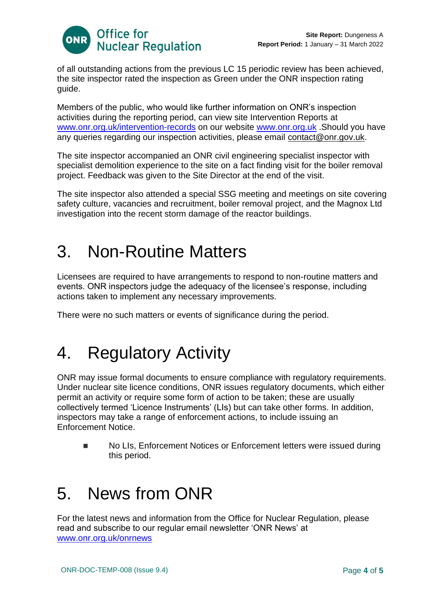

of all outstanding actions from the previous LC 15 periodic review has been achieved, the site inspector rated the inspection as Green under the ONR inspection rating guide.

Members of the public, who would like further information on ONR's inspection activities during the reporting period, can view site Intervention Reports at [www.onr.org.uk/intervention-records](http://www.onr.org.uk./intervention-records) on our website [www.onr.org.uk](http://www.onr.org.uk/). Should you have any queries regarding our inspection activities, please email [contact@onr.gov.uk.](mailto:contact@onr.gov.uk)

The site inspector accompanied an ONR civil engineering specialist inspector with specialist demolition experience to the site on a fact finding visit for the boiler removal project. Feedback was given to the Site Director at the end of the visit.

The site inspector also attended a special SSG meeting and meetings on site covering safety culture, vacancies and recruitment, boiler removal project, and the Magnox Ltd investigation into the recent storm damage of the reactor buildings.

## <span id="page-3-0"></span>3. Non-Routine Matters

Licensees are required to have arrangements to respond to non-routine matters and events. ONR inspectors judge the adequacy of the licensee's response, including actions taken to implement any necessary improvements.

There were no such matters or events of significance during the period.

# <span id="page-3-1"></span>4. Regulatory Activity

ONR may issue formal documents to ensure compliance with regulatory requirements. Under nuclear site licence conditions, ONR issues regulatory documents, which either permit an activity or require some form of action to be taken; these are usually collectively termed 'Licence Instruments' (LIs) but can take other forms. In addition, inspectors may take a range of enforcement actions, to include issuing an Enforcement Notice.

■ No LIs, Enforcement Notices or Enforcement letters were issued during this period.

# <span id="page-3-2"></span>5. News from ONR

For the latest news and information from the Office for Nuclear Regulation, please read and subscribe to our regular email newsletter 'ONR News' at [www.onr.org.uk/onrnews](http://www.onr.org.uk/onrnews)